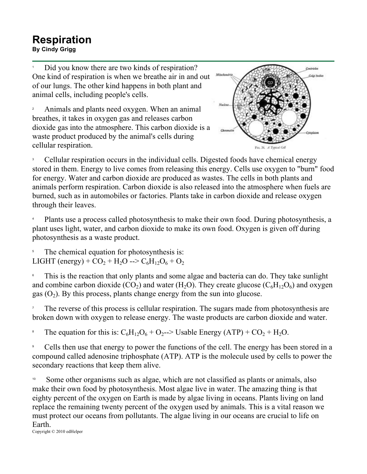## **Respiration**<br>By Cindy Grigg **Respiration**<br>By Cindy Grigg

1 Did you know there are two kinds of respiration? One kind of respiration is when we breathe air in and out of our lungs. The other kind happens in both plant and animal cells, including people's cells.

2 Animals and plants need oxygen. When an animal breathes, it takes in oxygen gas and releases carbon dioxide gas into the atmosphere. This carbon dioxide is a waste product produced by the animal's cells during cellular respiration.



3 Cellular respiration occurs in the individual cells. Digested foods have chemical energy stored in them. Energy to live comes from releasing this energy. Cells use oxygen to "burn" food for energy. Water and carbon dioxide are produced as wastes. The cells in both plants and animals perform respiration. Carbon dioxide is also released into the atmosphere when fuels are burned, such as in automobiles or factories. Plants take in carbon dioxide and release oxygen through their leaves.

4 Plants use a process called photosynthesis to make their own food. During photosynthesis, a plant uses light, water, and carbon dioxide to make its own food. Oxygen is given off during photosynthesis as a waste product.

5 The chemical equation for photosynthesis is: LIGHT (energy) +  $CO_2$  + H<sub>2</sub>O -->  $C_6H_{12}O_6 + O_2$ 

6 This is the reaction that only plants and some algae and bacteria can do. They take sunlight and combine carbon dioxide (CO<sub>2</sub>) and water (H<sub>2</sub>O). They create glucose ( $C_6H_{12}O_6$ ) and oxygen gas  $(O_2)$ . By this process, plants change energy from the sun into glucose.

7 The reverse of this process is cellular respiration. The sugars made from photosynthesis are broken down with oxygen to release energy. The waste products are carbon dioxide and water.

8 The equation for this is:  $C_6H_{12}O_6 + O_2 \rightarrow$  Usable Energy (ATP) +  $CO_2 + H_2O$ .

9 Cells then use that energy to power the functions of the cell. The energy has been stored in a compound called adenosine triphosphate (ATP). ATP is the molecule used by cells to power the secondary reactions that keep them alive.

Some other organisms such as algae, which are not classified as plants or animals, also make their own food by photosynthesis. Most algae live in water. The amazing thing is that eighty percent of the oxygen on Earth is made by algae living in oceans. Plants living on land replace the remaining twenty percent of the oxygen used by animals. This is a vital reason we must protect our oceans from pollutants. The algae living in our oceans are crucial to life on Earth.

Copyright © 2010 edHelper